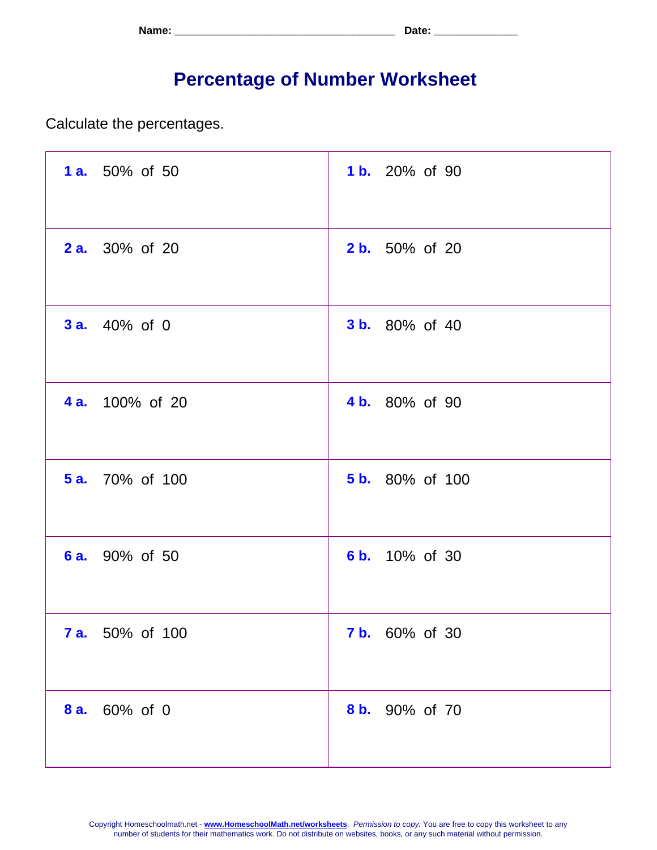| Name: | <b>. הור</b><br>. Jalu - |
|-------|--------------------------|
|-------|--------------------------|

## **Percentage of Number Worksheet**

Calculate the percentages.

| 1 a. 50% of 50         | 1 b. 20% of 90         |
|------------------------|------------------------|
| <b>2 a.</b> 30% of 20  | <b>2 b.</b> 50% of 20  |
| <b>3 a.</b> 40% of 0   | <b>3 b.</b> 80% of 40  |
| <b>4 a.</b> 100% of 20 | 4 b. 80% of 90         |
| <b>5 a.</b> 70% of 100 | <b>5 b.</b> 80% of 100 |
| 6 a. 90% of 50         | 6 b. 10% of 30         |
| <b>7 a.</b> 50% of 100 | <b>7 b.</b> 60% of 30  |
| 8 a. 60% of 0          | 8 b. 90% of 70         |